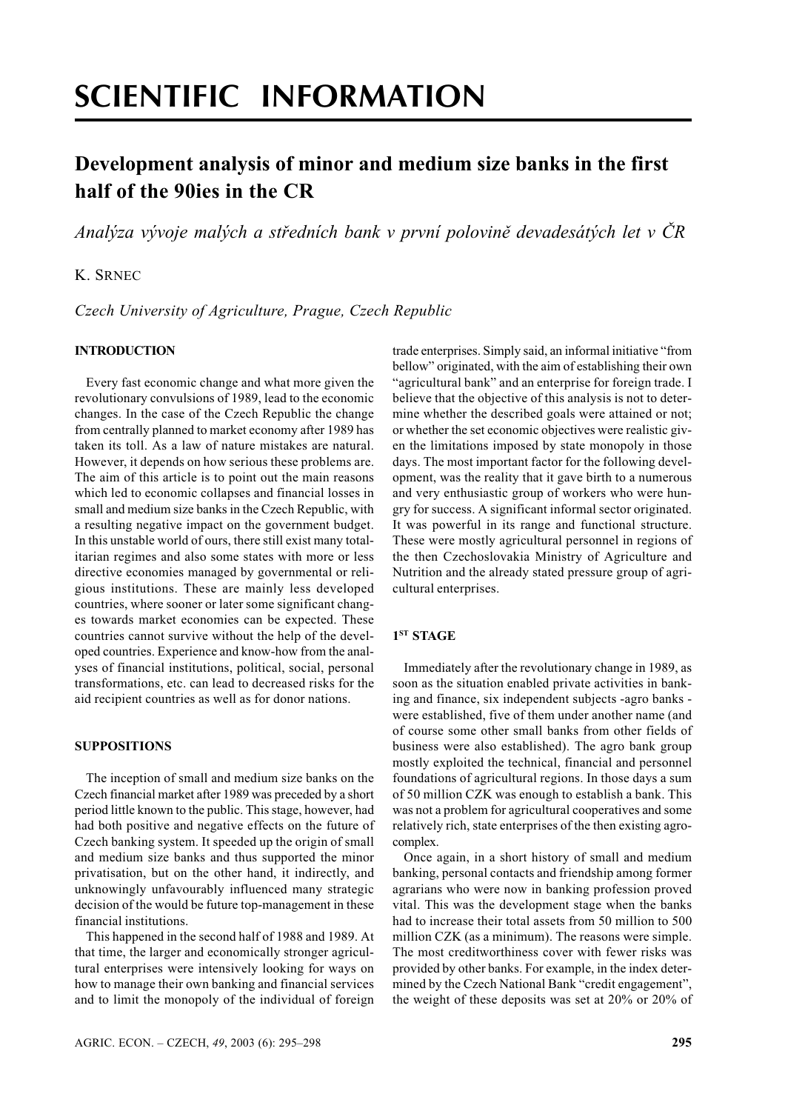# **SCIENTIFIC INFORMATION**

# Development analysis of minor and medium size banks in the first half of the 90ies in the CR

Analýza vývoje malých a středních bank v první polovině devadesátých let v ČR

# K. SRNEC

Czech University of Agriculture, Prague, Czech Republic

#### **INTRODUCTION**

Every fast economic change and what more given the revolutionary convulsions of 1989, lead to the economic changes. In the case of the Czech Republic the change from centrally planned to market economy after 1989 has taken its toll. As a law of nature mistakes are natural. However, it depends on how serious these problems are. The aim of this article is to point out the main reasons which led to economic collapses and financial losses in small and medium size banks in the Czech Republic, with a resulting negative impact on the government budget. In this unstable world of ours, there still exist many totalitarian regimes and also some states with more or less directive economies managed by governmental or religious institutions. These are mainly less developed countries, where sooner or later some significant changes towards market economies can be expected. These countries cannot survive without the help of the developed countries. Experience and know-how from the analyses of financial institutions, political, social, personal transformations, etc. can lead to decreased risks for the aid recipient countries as well as for donor nations.

# **SUPPOSITIONS**

The inception of small and medium size banks on the Czech financial market after 1989 was preceded by a short period little known to the public. This stage, however, had had both positive and negative effects on the future of Czech banking system. It speeded up the origin of small and medium size banks and thus supported the minor privatisation, but on the other hand, it indirectly, and unknowingly unfavourably influenced many strategic decision of the would be future top-management in these financial institutions.

This happened in the second half of 1988 and 1989. At that time, the larger and economically stronger agricultural enterprises were intensively looking for ways on how to manage their own banking and financial services and to limit the monopoly of the individual of foreign trade enterprises. Simply said, an informal initiative "from bellow" originated, with the aim of establishing their own "agricultural bank" and an enterprise for foreign trade. I believe that the objective of this analysis is not to determine whether the described goals were attained or not; or whether the set economic objectives were realistic given the limitations imposed by state monopoly in those days. The most important factor for the following development, was the reality that it gave birth to a numerous and very enthusiastic group of workers who were hungry for success. A significant informal sector originated. It was powerful in its range and functional structure. These were mostly agricultural personnel in regions of the then Czechoslovakia Ministry of Agriculture and Nutrition and the already stated pressure group of agricultural enterprises.

#### 1<sup>ST</sup> STAGE

Immediately after the revolutionary change in 1989, as soon as the situation enabled private activities in banking and finance, six independent subjects -agro banks were established, five of them under another name (and of course some other small banks from other fields of business were also established). The agro bank group mostly exploited the technical, financial and personnel foundations of agricultural regions. In those days a sum of 50 million CZK was enough to establish a bank. This was not a problem for agricultural cooperatives and some relatively rich, state enterprises of the then existing agrocomplex.

Once again, in a short history of small and medium banking, personal contacts and friendship among former agrarians who were now in banking profession proved vital. This was the development stage when the banks had to increase their total assets from 50 million to 500 million CZK (as a minimum). The reasons were simple. The most creditworthiness cover with fewer risks was provided by other banks. For example, in the index determined by the Czech National Bank "credit engagement", the weight of these deposits was set at 20% or 20% of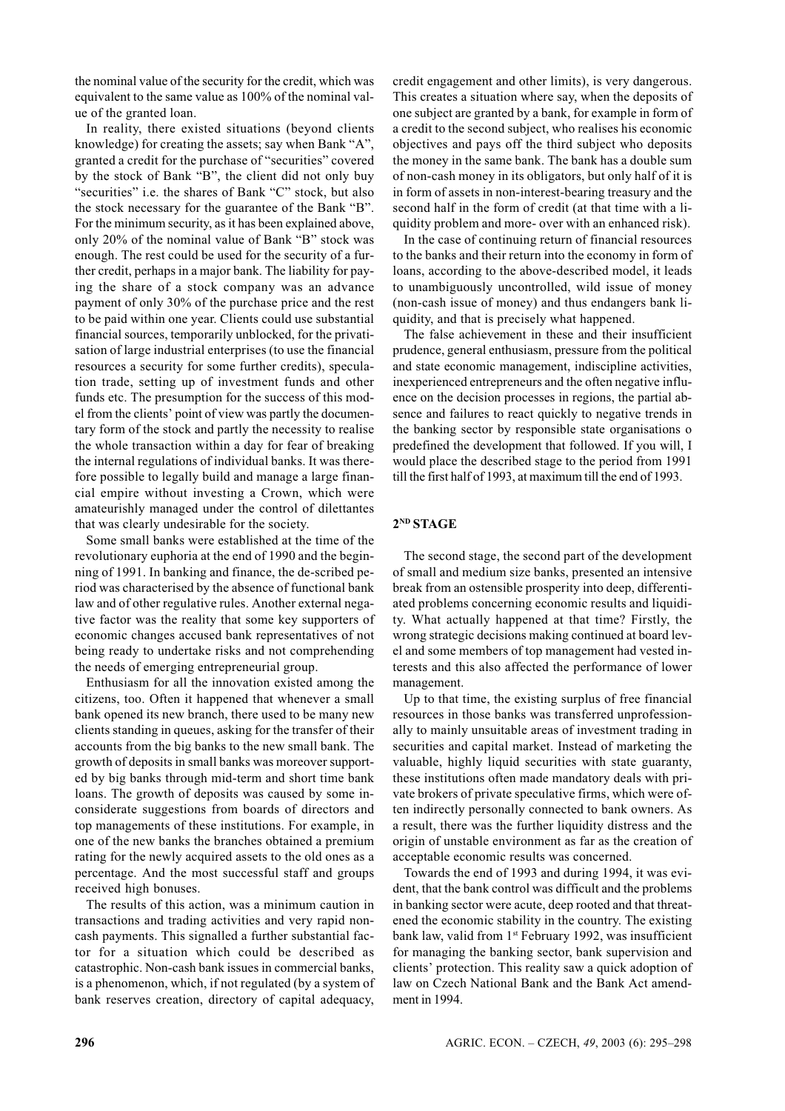the nominal value of the security for the credit, which was equivalent to the same value as 100% of the nominal value of the granted loan.

In reality, there existed situations (beyond clients knowledge) for creating the assets: say when Bank "A". granted a credit for the purchase of "securities" covered by the stock of Bank "B", the client did not only buy "securities" i.e. the shares of Bank "C" stock, but also the stock necessary for the guarantee of the Bank "B". For the minimum security, as it has been explained above, only 20% of the nominal value of Bank "B" stock was enough. The rest could be used for the security of a further credit, perhaps in a major bank. The liability for paying the share of a stock company was an advance payment of only 30% of the purchase price and the rest to be paid within one year. Clients could use substantial financial sources, temporarily unblocked, for the privatisation of large industrial enterprises (to use the financial resources a security for some further credits), speculation trade, setting up of investment funds and other funds etc. The presumption for the success of this model from the clients' point of view was partly the documentary form of the stock and partly the necessity to realise the whole transaction within a day for fear of breaking the internal regulations of individual banks. It was therefore possible to legally build and manage a large financial empire without investing a Crown, which were amateurishly managed under the control of dilettantes that was clearly undesirable for the society.

Some small banks were established at the time of the revolutionary euphoria at the end of 1990 and the beginning of 1991. In banking and finance, the de-scribed period was characterised by the absence of functional bank law and of other regulative rules. Another external negative factor was the reality that some key supporters of economic changes accused bank representatives of not being ready to undertake risks and not comprehending the needs of emerging entrepreneurial group.

Enthusiasm for all the innovation existed among the citizens, too. Often it happened that whenever a small bank opened its new branch, there used to be many new clients standing in queues, asking for the transfer of their accounts from the big banks to the new small bank. The growth of deposits in small banks was moreover supported by big banks through mid-term and short time bank loans. The growth of deposits was caused by some inconsiderate suggestions from boards of directors and top managements of these institutions. For example, in one of the new banks the branches obtained a premium rating for the newly acquired assets to the old ones as a percentage. And the most successful staff and groups received high bonuses.

The results of this action, was a minimum caution in transactions and trading activities and very rapid noncash payments. This signalled a further substantial factor for a situation which could be described as catastrophic. Non-cash bank issues in commercial banks, is a phenomenon, which, if not regulated (by a system of bank reserves creation, directory of capital adequacy, credit engagement and other limits), is very dangerous. This creates a situation where say, when the deposits of one subject are granted by a bank, for example in form of a credit to the second subject, who realises his economic objectives and pays off the third subject who deposits the money in the same bank. The bank has a double sum of non-cash money in its obligators, but only half of it is in form of assets in non-interest-bearing treasury and the second half in the form of credit (at that time with a liquidity problem and more- over with an enhanced risk).

In the case of continuing return of financial resources to the banks and their return into the economy in form of loans, according to the above-described model, it leads to unambiguously uncontrolled, wild issue of money (non-cash issue of money) and thus endangers bank liquidity, and that is precisely what happened.

The false achievement in these and their insufficient prudence, general enthusiasm, pressure from the political and state economic management, indiscipline activities, inexperienced entrepreneurs and the often negative influence on the decision processes in regions, the partial absence and failures to react quickly to negative trends in the banking sector by responsible state organisations of predefined the development that followed. If you will, I would place the described stage to the period from 1991 till the first half of 1993, at maximum till the end of 1993.

#### $2^{ND}$  STAGE

The second stage, the second part of the development of small and medium size banks, presented an intensive break from an ostensible prosperity into deep, differentiated problems concerning economic results and liquidity. What actually happened at that time? Firstly, the wrong strategic decisions making continued at board level and some members of top management had vested interests and this also affected the performance of lower management.

Up to that time, the existing surplus of free financial resources in those banks was transferred unprofessionally to mainly unsuitable areas of investment trading in securities and capital market. Instead of marketing the valuable, highly liquid securities with state guaranty, these institutions often made mandatory deals with private brokers of private speculative firms, which were often indirectly personally connected to bank owners. As a result, there was the further liquidity distress and the origin of unstable environment as far as the creation of acceptable economic results was concerned.

Towards the end of 1993 and during 1994, it was evident, that the bank control was difficult and the problems in banking sector were acute, deep rooted and that threatened the economic stability in the country. The existing bank law, valid from 1<sup>st</sup> February 1992, was insufficient for managing the banking sector, bank supervision and clients' protection. This reality saw a quick adoption of law on Czech National Bank and the Bank Act amendment in 1994.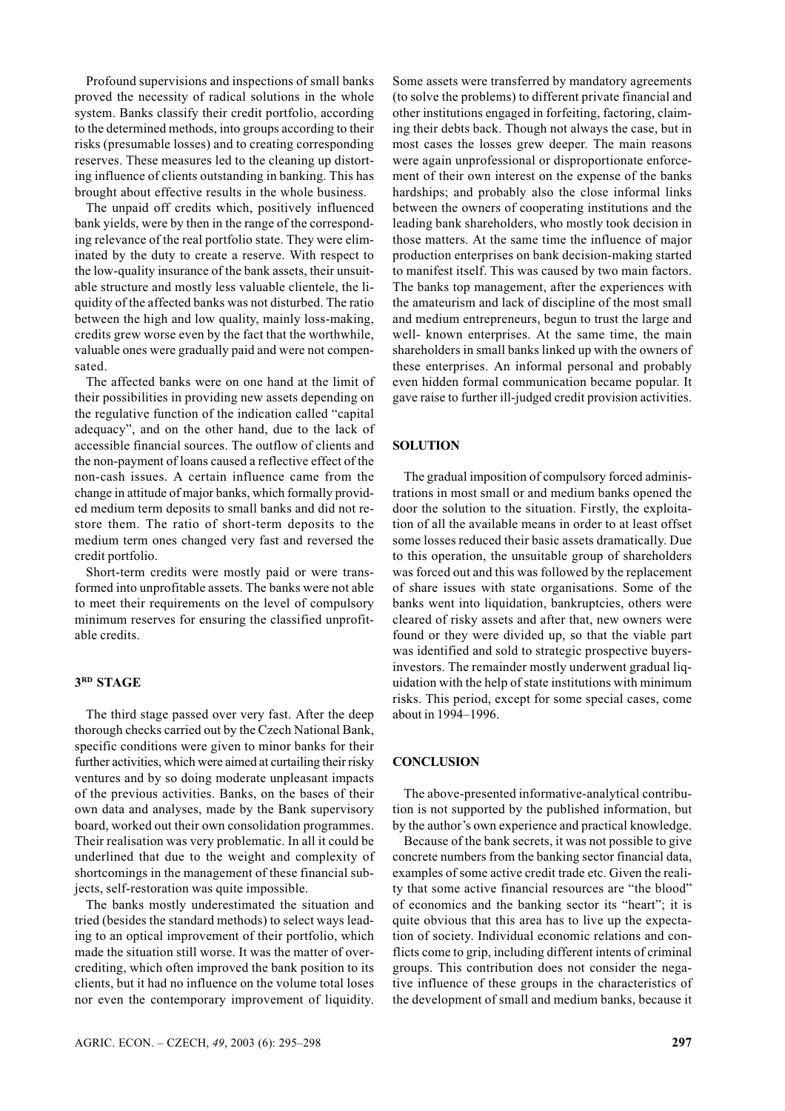Profound supervisions and inspections of small banks proved the necessity of radical solutions in the whole system. Banks classify their credit portfolio, according to the determined methods, into groups according to their risks (presumable losses) and to creating corresponding reserves. These measures led to the cleaning up distorting influence of clients outstanding in banking. This has brought about effective results in the whole business.

The unpaid off credits which, positively influenced bank yields, were by then in the range of the corresponding relevance of the real portfolio state. They were eliminated by the duty to create a reserve. With respect to the low-quality insurance of the bank assets, their unsuitable structure and mostly less valuable clientele, the liquidity of the affected banks was not disturbed. The ratio between the high and low quality, mainly loss-making. credits grew worse even by the fact that the worthwhile, valuable ones were gradually paid and were not compensated.

The affected banks were on one hand at the limit of their possibilities in providing new assets depending on the regulative function of the indication called "capital" adequacy", and on the other hand, due to the lack of accessible financial sources. The outflow of clients and the non-payment of loans caused a reflective effect of the non-cash issues. A certain influence came from the change in attitude of major banks, which formally provided medium term deposits to small banks and did not restore them. The ratio of short-term deposits to the medium term ones changed very fast and reversed the credit portfolio.

Short-term credits were mostly paid or were transformed into unprofitable assets. The banks were not able to meet their requirements on the level of compulsory minimum reserves for ensuring the classified unprofitable credits.

#### 3RD STAGE

The third stage passed over very fast. After the deep thorough checks carried out by the Czech National Bank, specific conditions were given to minor banks for their further activities, which were aimed at curtailing their risky ventures and by so doing moderate unpleasant impacts of the previous activities. Banks, on the bases of their own data and analyses, made by the Bank supervisory board, worked out their own consolidation programmes. Their realisation was very problematic. In all it could be underlined that due to the weight and complexity of shortcomings in the management of these financial subjects, self-restoration was quite impossible.

The banks mostly underestimated the situation and tried (besides the standard methods) to select ways leading to an optical improvement of their portfolio, which made the situation still worse. It was the matter of overcrediting, which often improved the bank position to its clients, but it had no influence on the volume total loses nor even the contemporary improvement of liquidity. Some assets were transferred by mandatory agreements (to solve the problems) to different private financial and other institutions engaged in forfeiting, factoring, claiming their debts back. Though not always the case, but in most cases the losses grew deeper. The main reasons were again unprofessional or disproportionate enforcement of their own interest on the expense of the banks hardships; and probably also the close informal links between the owners of cooperating institutions and the leading bank shareholders, who mostly took decision in those matters. At the same time the influence of major production enterprises on bank decision-making started to manifest itself. This was caused by two main factors. The banks top management, after the experiences with the amateurism and lack of discipline of the most small and medium entrepreneurs, begun to trust the large and well- known enterprises. At the same time, the main shareholders in small banks linked up with the owners of these enterprises. An informal personal and probably even hidden formal communication became popular. It gave raise to further ill-judged credit provision activities.

### **SOLUTION**

The gradual imposition of compulsory forced administrations in most small or and medium banks opened the door the solution to the situation. Firstly, the exploitation of all the available means in order to at least offset some losses reduced their basic assets dramatically. Due to this operation, the unsuitable group of shareholders was forced out and this was followed by the replacement of share issues with state organisations. Some of the banks went into liquidation, bankruptcies, others were cleared of risky assets and after that, new owners were found or they were divided up, so that the viable part was identified and sold to strategic prospective buyersinvestors. The remainder mostly underwent gradual liquidation with the help of state institutions with minimum risks. This period, except for some special cases, come about in 1994-1996.

#### **CONCLUSION**

The above-presented informative-analytical contribution is not supported by the published information, but by the author's own experience and practical knowledge.

Because of the bank secrets, it was not possible to give concrete numbers from the banking sector financial data, examples of some active credit trade etc. Given the reality that some active financial resources are "the blood" of economics and the banking sector its "heart"; it is quite obvious that this area has to live up the expectation of society. Individual economic relations and conflicts come to grip, including different intents of criminal groups. This contribution does not consider the negative influence of these groups in the characteristics of the development of small and medium banks, because it